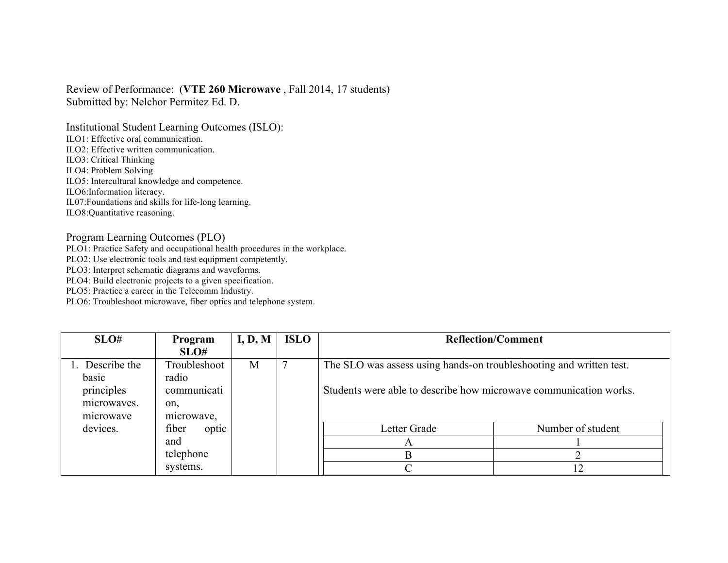## Review of Performance: (**VTE 260 Microwave** , Fall 2014, 17 students) Submitted by: Nelchor Permitez Ed. D.

Institutional Student Learning Outcomes (ISLO):

ILO1: Effective oral communication.

ILO2: Effective written communication.

ILO3: Critical Thinking

ILO4: Problem Solving

ILO5: Intercultural knowledge and competence.

ILO6:Information literacy.

IL07:Foundations and skills for life-long learning.

ILO8:Quantitative reasoning.

## Program Learning Outcomes (PLO)

PLO1: Practice Safety and occupational health procedures in the workplace.

PLO2: Use electronic tools and test equipment competently.

PLO3: Interpret schematic diagrams and waveforms.

PLO4: Build electronic projects to a given specification.

PLO5: Practice a career in the Telecomm Industry.

PLO6: Troubleshoot microwave, fiber optics and telephone system.

| SLO#            | Program        | I, D, M | <b>ISLO</b> | <b>Reflection/Comment</b>                                           |                   |
|-----------------|----------------|---------|-------------|---------------------------------------------------------------------|-------------------|
|                 | SLO#           |         |             |                                                                     |                   |
| 1. Describe the | Troubleshoot   | M       |             | The SLO was assess using hands-on troubleshooting and written test. |                   |
| basic           | radio          |         |             |                                                                     |                   |
| principles      | communicati    |         |             | Students were able to describe how microwave communication works.   |                   |
| microwaves.     | on,            |         |             |                                                                     |                   |
| microwave       | microwave,     |         |             |                                                                     |                   |
| devices.        | fiber<br>optic |         |             | Letter Grade                                                        | Number of student |
|                 | and            |         |             | $\mathbf{A}$                                                        |                   |
|                 | telephone      |         |             | B                                                                   |                   |
|                 | systems.       |         |             |                                                                     | 12                |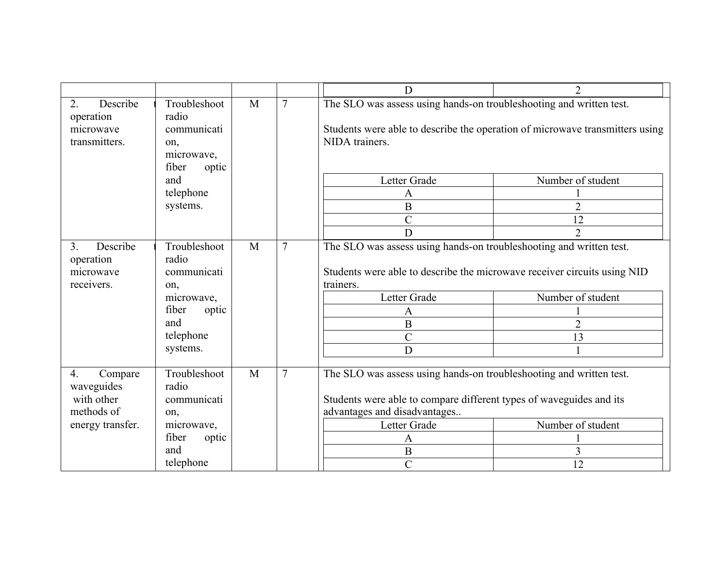|                                                                             |                                                                                                             |              |                | D                                                                                                                                                                                                                                                                 | $\mathcal{D}$                                                                                                                               |
|-----------------------------------------------------------------------------|-------------------------------------------------------------------------------------------------------------|--------------|----------------|-------------------------------------------------------------------------------------------------------------------------------------------------------------------------------------------------------------------------------------------------------------------|---------------------------------------------------------------------------------------------------------------------------------------------|
| 2.<br>Describe<br>operation<br>microwave<br>transmitters.                   | Troubleshoot<br>radio<br>communicati<br>on,<br>microwave,<br>fiber<br>optic<br>and<br>telephone<br>systems. | $\mathbf{M}$ | $\overline{7}$ | The SLO was assess using hands-on troubleshooting and written test.<br>NIDA trainers.<br>Letter Grade<br>$\mathbf{A}$<br>$\, {\bf B}$<br>$\overline{C}$<br>D                                                                                                      | Students were able to describe the operation of microwave transmitters using<br>Number of student<br>$\overline{2}$<br>12<br>$\overline{2}$ |
| Describe<br>3 <sub>1</sub><br>operation<br>microwave<br>receivers.          | Troubleshoot<br>radio<br>communicati<br>on,<br>microwave,<br>fiber<br>optic<br>and<br>telephone<br>systems. | M            | $\overline{7}$ | The SLO was assess using hands-on troubleshooting and written test.<br>Students were able to describe the microwave receiver circuits using NID<br>trainers.<br>Letter Grade<br>$\mathbf{A}$<br>$\overline{B}$<br>$\mathcal{C}$<br>D                              | Number of student<br>$\overline{2}$<br>13                                                                                                   |
| 4.<br>Compare<br>waveguides<br>with other<br>methods of<br>energy transfer. | Troubleshoot<br>radio<br>communicati<br>on,<br>microwave,<br>fiber<br>optic<br>and<br>telephone             | M            | $\overline{7}$ | The SLO was assess using hands-on troubleshooting and written test.<br>Students were able to compare different types of waveguides and its<br>advantages and disadvantages<br>Number of student<br>Letter Grade<br>A<br>$\, {\bf B}$<br>3<br>$\overline{C}$<br>12 |                                                                                                                                             |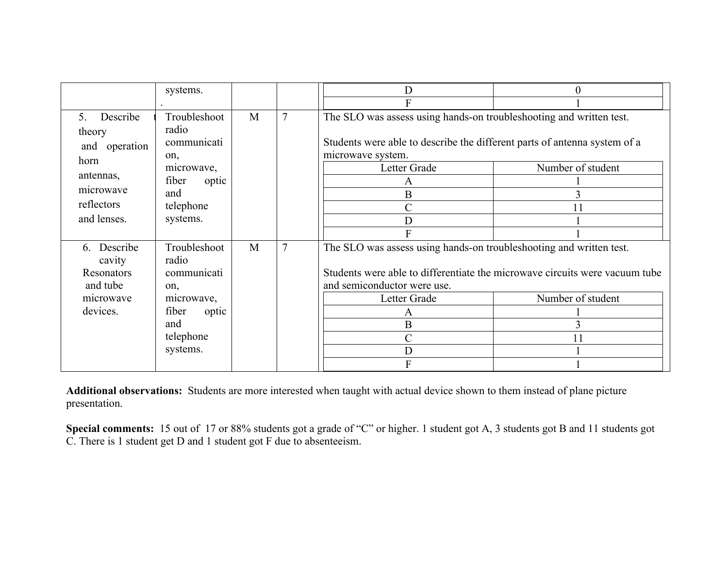|                                                  | systems.                                    |   |                | Ð                                                                                                                                                                                                          | $\mathbf{0}$      |
|--------------------------------------------------|---------------------------------------------|---|----------------|------------------------------------------------------------------------------------------------------------------------------------------------------------------------------------------------------------|-------------------|
|                                                  |                                             |   |                |                                                                                                                                                                                                            |                   |
| Describe<br>5<br>theory<br>and operation<br>horn | Troubleshoot<br>radio<br>communicati<br>on, | M | $\overline{7}$ | The SLO was assess using hands-on troubleshooting and written test.<br>Students were able to describe the different parts of antenna system of a<br>microwave system.<br>Number of student<br>Letter Grade |                   |
| antennas,                                        | microwave,<br>fiber                         |   |                |                                                                                                                                                                                                            |                   |
| microwave                                        | optic<br>and                                |   |                | A<br>B                                                                                                                                                                                                     |                   |
| reflectors                                       | telephone                                   |   |                | C                                                                                                                                                                                                          |                   |
| and lenses.                                      | systems.                                    |   |                | D                                                                                                                                                                                                          |                   |
|                                                  |                                             |   |                |                                                                                                                                                                                                            |                   |
| 6. Describe<br>cavity<br>Resonators<br>and tube  | Troubleshoot<br>radio<br>communicati<br>on, | M | $\overline{7}$ | The SLO was assess using hands-on troubleshooting and written test.<br>Students were able to differentiate the microwave circuits were vacuum tube<br>and semiconductor were use.                          |                   |
| microwave                                        | microwave,                                  |   |                | Letter Grade                                                                                                                                                                                               | Number of student |
| devices.                                         | fiber<br>optic                              |   |                | A                                                                                                                                                                                                          |                   |
|                                                  | and                                         |   |                | B                                                                                                                                                                                                          |                   |
|                                                  | telephone                                   |   |                | C                                                                                                                                                                                                          | 11                |
|                                                  | systems.                                    |   |                | D                                                                                                                                                                                                          |                   |
|                                                  |                                             |   |                |                                                                                                                                                                                                            |                   |

**Additional observations:** Students are more interested when taught with actual device shown to them instead of plane picture presentation.

**Special comments:** 15 out of 17 or 88% students got a grade of "C" or higher. 1 student got A, 3 students got B and 11 students got C. There is 1 student get D and 1 student got F due to absenteeism.